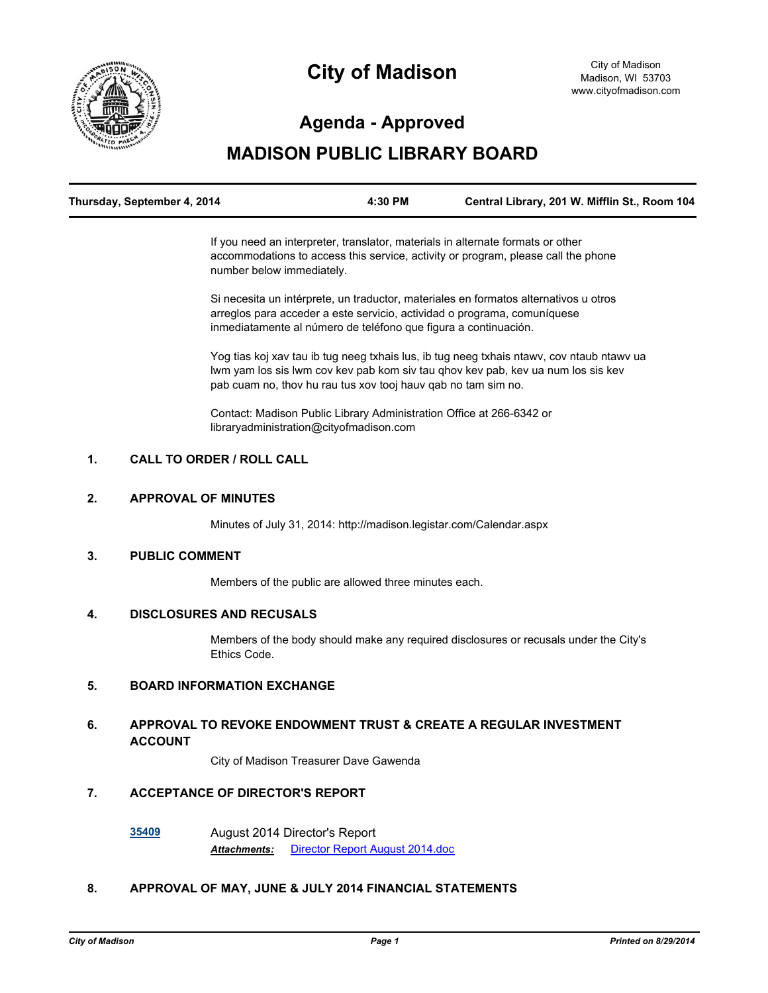

# **City of Madison**

# **Agenda - Approved**

# **MADISON PUBLIC LIBRARY BOARD**

| Thursday, September 4, 2014 | 4:30 PM | Central Library, 201 W. Mifflin St., Room 104 |
|-----------------------------|---------|-----------------------------------------------|
|                             |         |                                               |

If you need an interpreter, translator, materials in alternate formats or other accommodations to access this service, activity or program, please call the phone number below immediately.

Si necesita un intérprete, un traductor, materiales en formatos alternativos u otros arreglos para acceder a este servicio, actividad o programa, comuníquese inmediatamente al número de teléfono que figura a continuación.

Yog tias koj xav tau ib tug neeg txhais lus, ib tug neeg txhais ntawv, cov ntaub ntawv ua lwm yam los sis lwm cov kev pab kom siv tau qhov kev pab, kev ua num los sis kev pab cuam no, thov hu rau tus xov tooj hauv qab no tam sim no.

Contact: Madison Public Library Administration Office at 266-6342 or libraryadministration@cityofmadison.com

# **1. CALL TO ORDER / ROLL CALL**

#### **2. APPROVAL OF MINUTES**

Minutes of July 31, 2014: http://madison.legistar.com/Calendar.aspx

## **3. PUBLIC COMMENT**

Members of the public are allowed three minutes each.

#### **4. DISCLOSURES AND RECUSALS**

Members of the body should make any required disclosures or recusals under the City's Ethics Code.

#### **5. BOARD INFORMATION EXCHANGE**

#### **6. APPROVAL TO REVOKE ENDOWMENT TRUST & CREATE A REGULAR INVESTMENT ACCOUNT**

City of Madison Treasurer Dave Gawenda

# **7. ACCEPTANCE OF DIRECTOR'S REPORT**

**[35409](http://madison.legistar.com/gateway.aspx?m=l&id=/matter.aspx?key=38485)** August 2014 Director's Report *Attachments:* [Director Report August 2014.doc](http://madison.legistar.com/gateway.aspx?M=F&ID=75eb5835-d77a-4ea0-8a1a-18efdc8f0403.doc)

#### **8. APPROVAL OF MAY, JUNE & JULY 2014 FINANCIAL STATEMENTS**